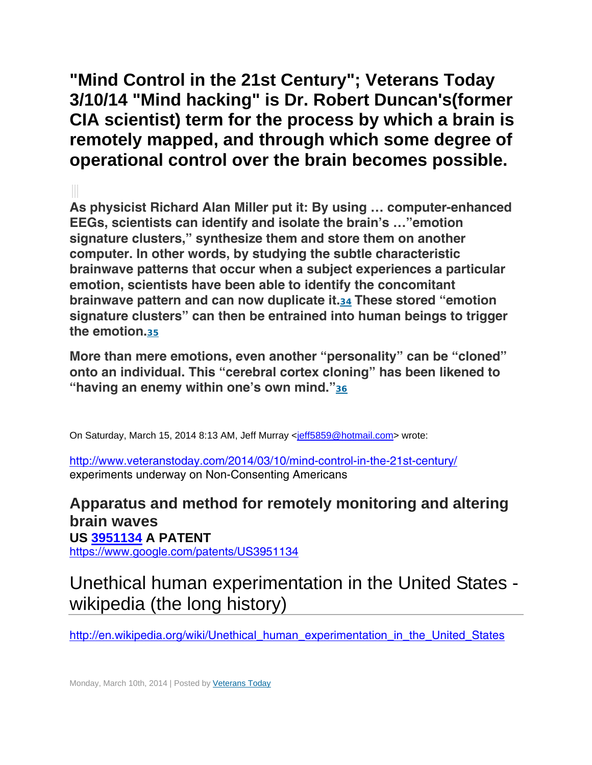**"Mind Control in the 21st Century"; Veterans Today 3/10/14 "Mind hacking" is Dr. Robert Duncan's(former CIA scientist) term for the process by which a brain is remotely mapped, and through which some degree of operational control over the brain becomes possible.** 

 **As physicist Richard Alan Miller put it: By using … computer-enhanced EEGs, scientists can identify and isolate the brain's …"emotion signature clusters," synthesize them and store them on another computer. In other words, by studying the subtle characteristic brainwave patterns that occur when a subject experiences a particular emotion, scientists have been able to identify the concomitant brainwave pattern and can now duplicate it.<sup>34</sup> These stored "emotion signature clusters" can then be entrained into human beings to trigger the emotion.<sup>35</sup>**

**More than mere emotions, even another "personality" can be "cloned" onto an individual. This "cerebral cortex cloning" has been likened to "having an enemy within one's own mind."<sup>36</sup>**

On Saturday, March 15, 2014 8:13 AM, Jeff Murray <jeff5859@hotmail.com> wrote:

http://www.veteranstoday.com/2014/03/10/mind-control-in-the-21st-century/ experiments underway on Non-Consenting Americans

# **Apparatus and method for remotely monitoring and altering brain waves US 3951134 A PATENT**

https://www.google.com/patents/US3951134

# Unethical human experimentation in the United States wikipedia (the long history)

http://en.wikipedia.org/wiki/Unethical human experimentation in the United States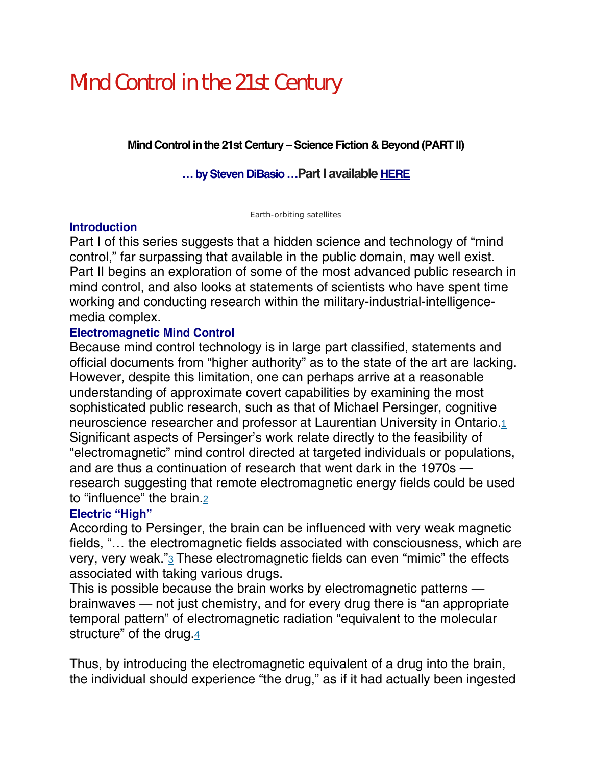# Mind Control in the 21st Century

**Mind Control in the 21st Century – Science Fiction & Beyond (PART II)**

**… by Steven DiBasio …Part I available HERE**

Earth-orbiting satellites

# **Introduction**

Part I of this series suggests that a hidden science and technology of "mind control," far surpassing that available in the public domain, may well exist. Part II begins an exploration of some of the most advanced public research in mind control, and also looks at statements of scientists who have spent time working and conducting research within the military-industrial-intelligencemedia complex.

# **Electromagnetic Mind Control**

Because mind control technology is in large part classified, statements and official documents from "higher authority" as to the state of the art are lacking. However, despite this limitation, one can perhaps arrive at a reasonable understanding of approximate covert capabilities by examining the most sophisticated public research, such as that of Michael Persinger, cognitive neuroscience researcher and professor at Laurentian University in Ontario.1 Significant aspects of Persinger's work relate directly to the feasibility of "electromagnetic" mind control directed at targeted individuals or populations, and are thus a continuation of research that went dark in the 1970s research suggesting that remote electromagnetic energy fields could be used to "influence" the brain.2

# **Electric "High"**

According to Persinger, the brain can be influenced with very weak magnetic fields, "… the electromagnetic fields associated with consciousness, which are very, very weak."3 These electromagnetic fields can even "mimic" the effects associated with taking various drugs.

This is possible because the brain works by electromagnetic patterns brainwaves — not just chemistry, and for every drug there is "an appropriate temporal pattern" of electromagnetic radiation "equivalent to the molecular structure" of the drug.4

Thus, by introducing the electromagnetic equivalent of a drug into the brain, the individual should experience "the drug," as if it had actually been ingested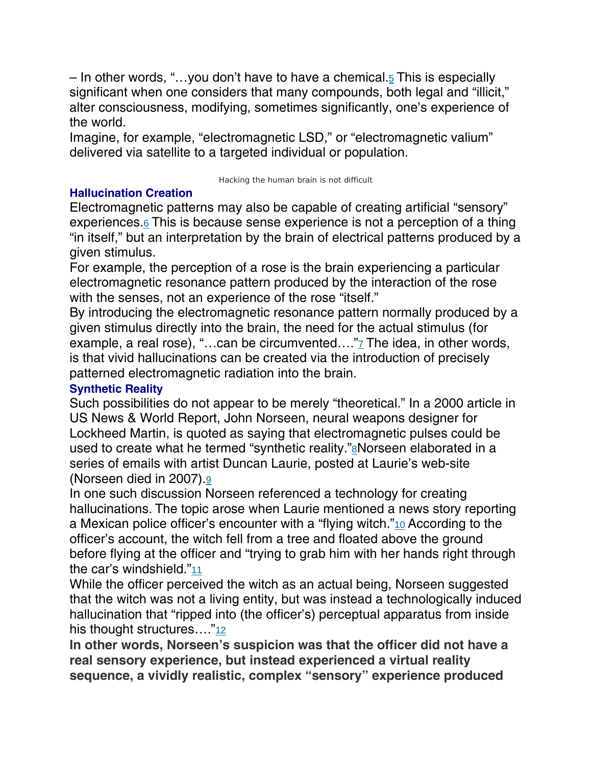– In other words, "…you don't have to have a chemical.5 This is especially significant when one considers that many compounds, both legal and "illicit," alter consciousness, modifying, sometimes significantly, one's experience of the world.

Imagine, for example, "electromagnetic LSD," or "electromagnetic valium" delivered via satellite to a targeted individual or population.

#### Hacking the human brain is not difficult

# **Hallucination Creation**

Electromagnetic patterns may also be capable of creating artificial "sensory" experiences. $6$  This is because sense experience is not a perception of a thing "in itself," but an interpretation by the brain of electrical patterns produced by a given stimulus.

For example, the perception of a rose is the brain experiencing a particular electromagnetic resonance pattern produced by the interaction of the rose with the senses, not an experience of the rose "itself."

By introducing the electromagnetic resonance pattern normally produced by a given stimulus directly into the brain, the need for the actual stimulus (for example, a real rose), "...can be circumvented...."7 The idea, in other words, is that vivid hallucinations can be created via the introduction of precisely patterned electromagnetic radiation into the brain.

# **Synthetic Reality**

Such possibilities do not appear to be merely "theoretical." In a 2000 article in US News & World Report, John Norseen, neural weapons designer for Lockheed Martin, is quoted as saying that electromagnetic pulses could be used to create what he termed "synthetic reality."<sup>8</sup>Norseen elaborated in a series of emails with artist Duncan Laurie, posted at Laurie's web-site (Norseen died in 2007).9

In one such discussion Norseen referenced a technology for creating hallucinations. The topic arose when Laurie mentioned a news story reporting a Mexican police officer's encounter with a "flying witch."10 According to the officer's account, the witch fell from a tree and floated above the ground before flying at the officer and "trying to grab him with her hands right through the car's windshield."11

While the officer perceived the witch as an actual being, Norseen suggested that the witch was not a living entity, but was instead a technologically induced hallucination that "ripped into (the officer's) perceptual apparatus from inside his thought structures…."12

**In other words, Norseen's suspicion was that the officer did not have a real sensory experience, but instead experienced a virtual reality sequence, a vividly realistic, complex "sensory" experience produced**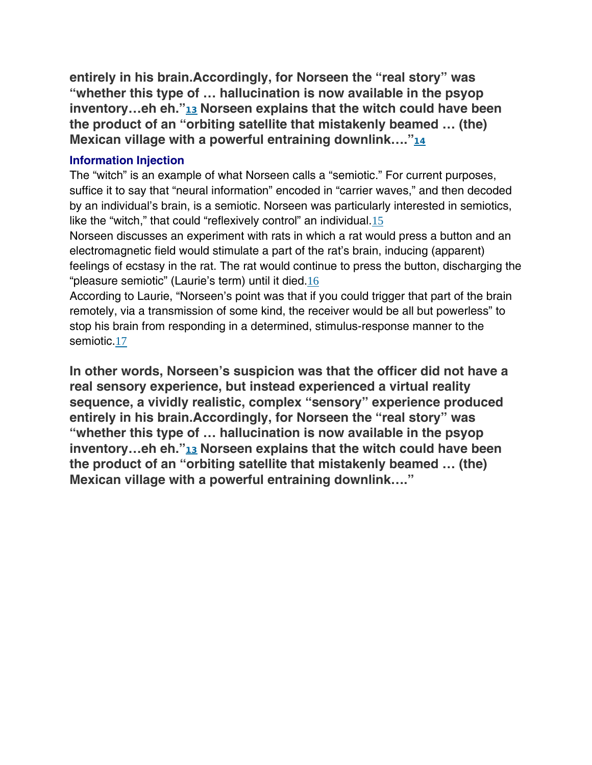**entirely in his brain.Accordingly, for Norseen the "real story" was "whether this type of … hallucination is now available in the psyop inventory…eh eh."<sup>13</sup> Norseen explains that the witch could have been the product of an "orbiting satellite that mistakenly beamed … (the) Mexican village with a powerful entraining downlink…."<sup>14</sup>**

#### **Information Injection**

The "witch" is an example of what Norseen calls a "semiotic." For current purposes, suffice it to say that "neural information" encoded in "carrier waves," and then decoded by an individual's brain, is a semiotic. Norseen was particularly interested in semiotics, like the "witch," that could "reflexively control" an individual.15

Norseen discusses an experiment with rats in which a rat would press a button and an electromagnetic field would stimulate a part of the rat's brain, inducing (apparent) feelings of ecstasy in the rat. The rat would continue to press the button, discharging the "pleasure semiotic" (Laurie's term) until it died.16

According to Laurie, "Norseen's point was that if you could trigger that part of the brain remotely, via a transmission of some kind, the receiver would be all but powerless" to stop his brain from responding in a determined, stimulus-response manner to the semiotic.17

**In other words, Norseen's suspicion was that the officer did not have a real sensory experience, but instead experienced a virtual reality sequence, a vividly realistic, complex "sensory" experience produced entirely in his brain.Accordingly, for Norseen the "real story" was "whether this type of … hallucination is now available in the psyop inventory…eh eh."<sup>13</sup> Norseen explains that the witch could have been the product of an "orbiting satellite that mistakenly beamed … (the) Mexican village with a powerful entraining downlink…."**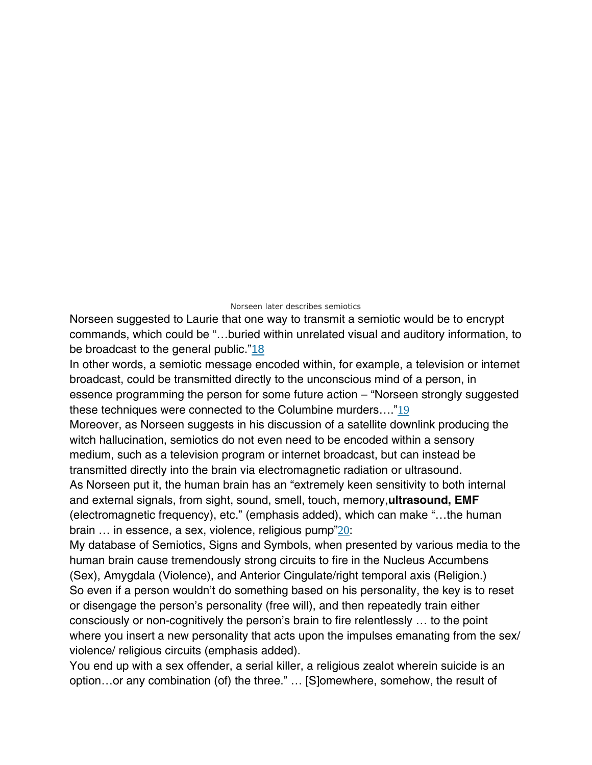#### Norseen later describes semiotics

Norseen suggested to Laurie that one way to transmit a semiotic would be to encrypt commands, which could be "…buried within unrelated visual and auditory information, to be broadcast to the general public."18

In other words, a semiotic message encoded within, for example, a television or internet broadcast, could be transmitted directly to the unconscious mind of a person, in essence programming the person for some future action – "Norseen strongly suggested these techniques were connected to the Columbine murders…."19

Moreover, as Norseen suggests in his discussion of a satellite downlink producing the witch hallucination, semiotics do not even need to be encoded within a sensory medium, such as a television program or internet broadcast, but can instead be transmitted directly into the brain via electromagnetic radiation or ultrasound.

As Norseen put it, the human brain has an "extremely keen sensitivity to both internal and external signals, from sight, sound, smell, touch, memory,**ultrasound, EMF**  (electromagnetic frequency), etc." (emphasis added), which can make "…the human brain … in essence, a sex, violence, religious pump"20:

My database of Semiotics, Signs and Symbols, when presented by various media to the human brain cause tremendously strong circuits to fire in the Nucleus Accumbens (Sex), Amygdala (Violence), and Anterior Cingulate/right temporal axis (Religion.) So even if a person wouldn't do something based on his personality, the key is to reset or disengage the person's personality (free will), and then repeatedly train either consciously or non-cognitively the person's brain to fire relentlessly … to the point where you insert a new personality that acts upon the impulses emanating from the sex/ violence/ religious circuits (emphasis added).

You end up with a sex offender, a serial killer, a religious zealot wherein suicide is an option…or any combination (of) the three." … [S]omewhere, somehow, the result of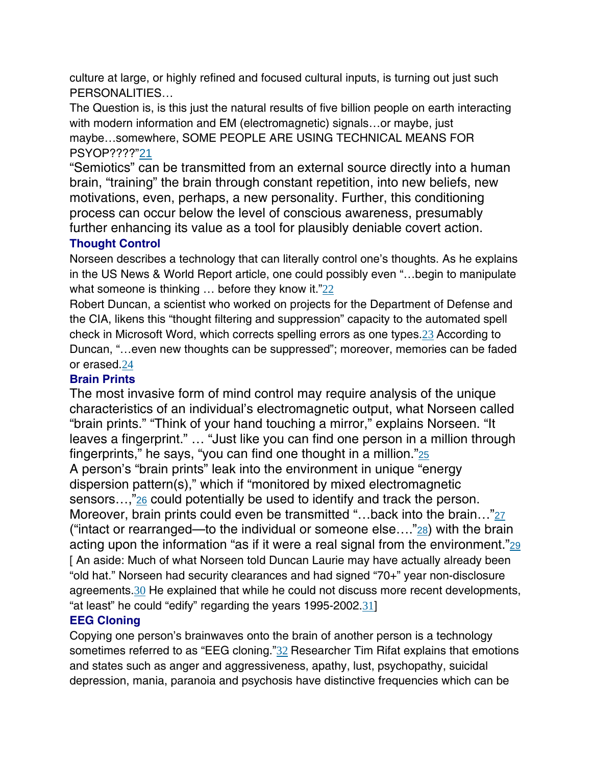culture at large, or highly refined and focused cultural inputs, is turning out just such PERSONALITIES…

The Question is, is this just the natural results of five billion people on earth interacting with modern information and EM (electromagnetic) signals…or maybe, just maybe…somewhere, SOME PEOPLE ARE USING TECHNICAL MEANS FOR PSYOP????"21

"Semiotics" can be transmitted from an external source directly into a human brain, "training" the brain through constant repetition, into new beliefs, new motivations, even, perhaps, a new personality. Further, this conditioning process can occur below the level of conscious awareness, presumably further enhancing its value as a tool for plausibly deniable covert action.

## **Thought Control**

Norseen describes a technology that can literally control one's thoughts. As he explains in the US News & World Report article, one could possibly even "…begin to manipulate what someone is thinking ... before they know it."22

Robert Duncan, a scientist who worked on projects for the Department of Defense and the CIA, likens this "thought filtering and suppression" capacity to the automated spell check in Microsoft Word, which corrects spelling errors as one types.23 According to Duncan, "…even new thoughts can be suppressed"; moreover, memories can be faded or erased.24

# **Brain Prints**

The most invasive form of mind control may require analysis of the unique characteristics of an individual's electromagnetic output, what Norseen called "brain prints." "Think of your hand touching a mirror," explains Norseen. "It leaves a fingerprint." … "Just like you can find one person in a million through fingerprints," he says, "you can find one thought in a million." $25$ A person's "brain prints" leak into the environment in unique "energy dispersion pattern(s)," which if "monitored by mixed electromagnetic sensors…,"26 could potentially be used to identify and track the person. Moreover, brain prints could even be transmitted "...back into the brain..."27 ("intact or rearranged—to the individual or someone else...." $28$ ) with the brain acting upon the information "as if it were a real signal from the environment." $_{29}$ [ An aside: Much of what Norseen told Duncan Laurie may have actually already been "old hat." Norseen had security clearances and had signed "70+" year non-disclosure agreements.30 He explained that while he could not discuss more recent developments, "at least" he could "edify" regarding the years 1995-2002.31]

# **EEG Cloning**

Copying one person's brainwaves onto the brain of another person is a technology sometimes referred to as "EEG cloning."32 Researcher Tim Rifat explains that emotions and states such as anger and aggressiveness, apathy, lust, psychopathy, suicidal depression, mania, paranoia and psychosis have distinctive frequencies which can be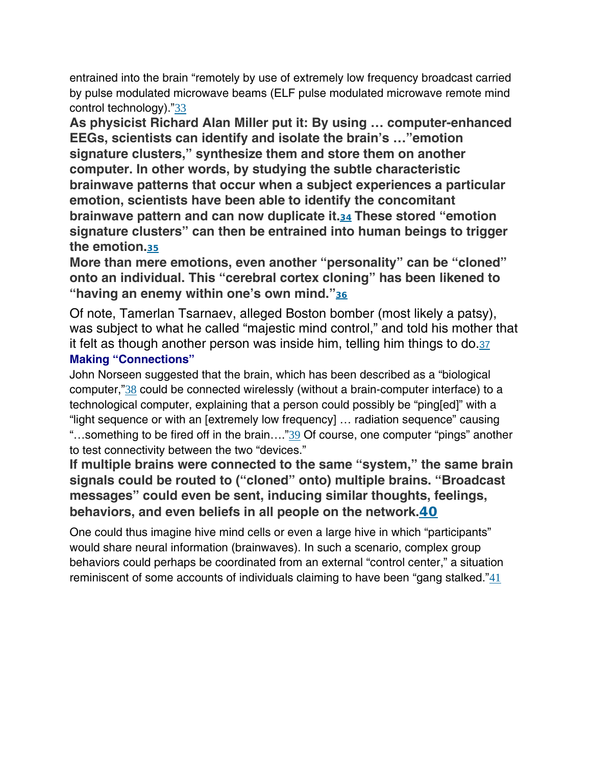entrained into the brain "remotely by use of extremely low frequency broadcast carried by pulse modulated microwave beams (ELF pulse modulated microwave remote mind control technology)."33

**As physicist Richard Alan Miller put it: By using … computer-enhanced EEGs, scientists can identify and isolate the brain's …"emotion signature clusters," synthesize them and store them on another computer. In other words, by studying the subtle characteristic brainwave patterns that occur when a subject experiences a particular emotion, scientists have been able to identify the concomitant brainwave pattern and can now duplicate it.<sup>34</sup> These stored "emotion signature clusters" can then be entrained into human beings to trigger the emotion.<sup>35</sup>**

**More than mere emotions, even another "personality" can be "cloned" onto an individual. This "cerebral cortex cloning" has been likened to "having an enemy within one's own mind."<sup>36</sup>**

Of note, Tamerlan Tsarnaev, alleged Boston bomber (most likely a patsy), was subject to what he called "majestic mind control," and told his mother that it felt as though another person was inside him, telling him things to do.37

## **Making "Connections"**

John Norseen suggested that the brain, which has been described as a "biological computer,"38 could be connected wirelessly (without a brain-computer interface) to a technological computer, explaining that a person could possibly be "ping[ed]" with a "light sequence or with an [extremely low frequency] … radiation sequence" causing "...something to be fired off in the brain...."39 Of course, one computer "pings" another to test connectivity between the two "devices."

**If multiple brains were connected to the same "system," the same brain signals could be routed to ("cloned" onto) multiple brains. "Broadcast messages" could even be sent, inducing similar thoughts, feelings, behaviors, and even beliefs in all people on the network.40**

One could thus imagine hive mind cells or even a large hive in which "participants" would share neural information (brainwaves). In such a scenario, complex group behaviors could perhaps be coordinated from an external "control center," a situation reminiscent of some accounts of individuals claiming to have been "gang stalked." $41$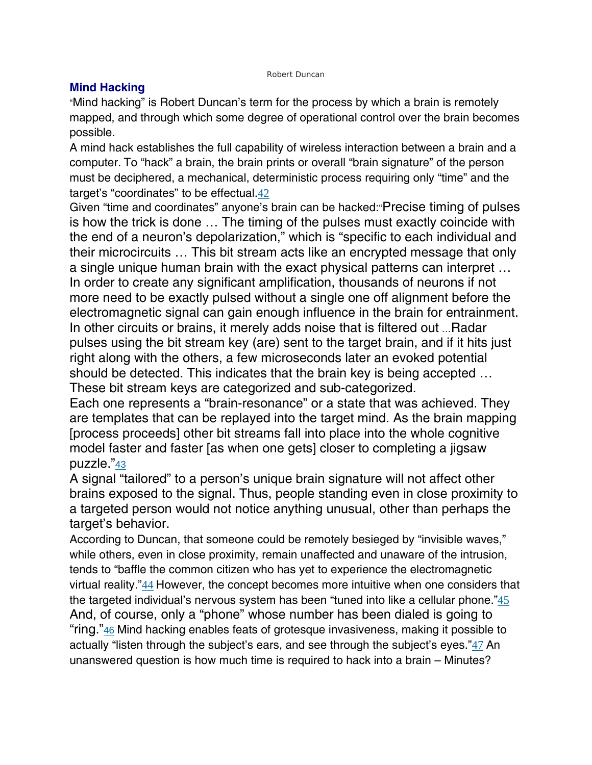#### Robert Duncan

#### **Mind Hacking**

"Mind hacking" is Robert Duncan's term for the process by which a brain is remotely mapped, and through which some degree of operational control over the brain becomes possible.

A mind hack establishes the full capability of wireless interaction between a brain and a computer. To "hack" a brain, the brain prints or overall "brain signature" of the person must be deciphered, a mechanical, deterministic process requiring only "time" and the target's "coordinates" to be effectual.42

Given "time and coordinates" anyone's brain can be hacked:"Precise timing of pulses is how the trick is done … The timing of the pulses must exactly coincide with the end of a neuron's depolarization," which is "specific to each individual and their microcircuits … This bit stream acts like an encrypted message that only a single unique human brain with the exact physical patterns can interpret … In order to create any significant amplification, thousands of neurons if not more need to be exactly pulsed without a single one off alignment before the electromagnetic signal can gain enough influence in the brain for entrainment. In other circuits or brains, it merely adds noise that is filtered out …Radar pulses using the bit stream key (are) sent to the target brain, and if it hits just right along with the others, a few microseconds later an evoked potential should be detected. This indicates that the brain key is being accepted … These bit stream keys are categorized and sub-categorized.

Each one represents a "brain-resonance" or a state that was achieved. They are templates that can be replayed into the target mind. As the brain mapping [process proceeds] other bit streams fall into place into the whole cognitive model faster and faster [as when one gets] closer to completing a jigsaw puzzle."43

A signal "tailored" to a person's unique brain signature will not affect other brains exposed to the signal. Thus, people standing even in close proximity to a targeted person would not notice anything unusual, other than perhaps the target's behavior.

According to Duncan, that someone could be remotely besieged by "invisible waves," while others, even in close proximity, remain unaffected and unaware of the intrusion, tends to "baffle the common citizen who has yet to experience the electromagnetic virtual reality."44 However, the concept becomes more intuitive when one considers that the targeted individual's nervous system has been "tuned into like a cellular phone." $45$ And, of course, only a "phone" whose number has been dialed is going to "ring."<sup>46</sup> Mind hacking enables feats of grotesque invasiveness, making it possible to actually "listen through the subject's ears, and see through the subject's eyes."47 An unanswered question is how much time is required to hack into a brain – Minutes?